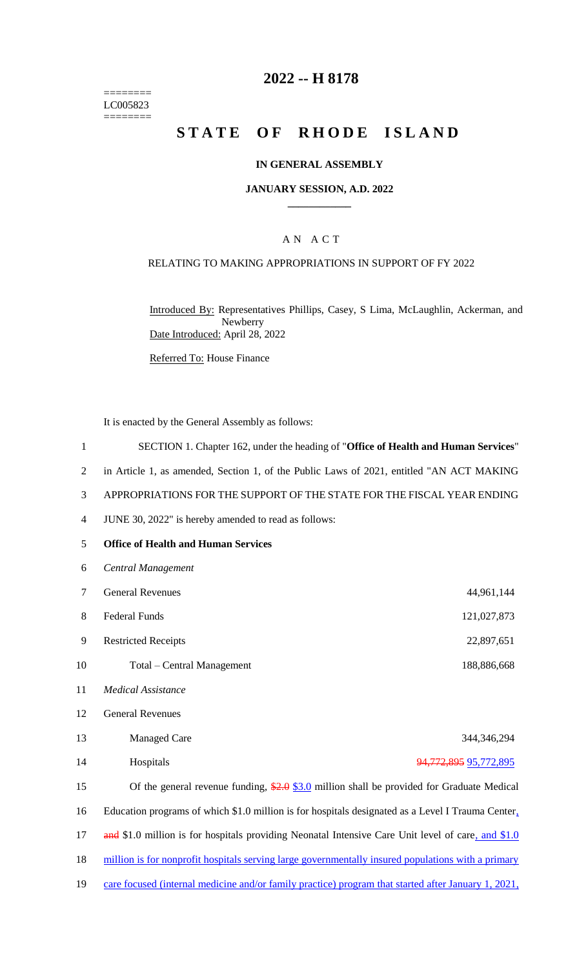======== LC005823  $=$ 

# **2022 -- H 8178**

# **STATE OF RHODE ISLAND**

## **IN GENERAL ASSEMBLY**

#### **JANUARY SESSION, A.D. 2022 \_\_\_\_\_\_\_\_\_\_\_\_**

## A N A C T

## RELATING TO MAKING APPROPRIATIONS IN SUPPORT OF FY 2022

Introduced By: Representatives Phillips, Casey, S Lima, McLaughlin, Ackerman, and Newberry Date Introduced: April 28, 2022

Referred To: House Finance

It is enacted by the General Assembly as follows:

| $\mathbf{1}$   | SECTION 1. Chapter 162, under the heading of "Office of Health and Human Services"                 |                           |
|----------------|----------------------------------------------------------------------------------------------------|---------------------------|
| $\overline{2}$ | in Article 1, as amended, Section 1, of the Public Laws of 2021, entitled "AN ACT MAKING           |                           |
| 3              | APPROPRIATIONS FOR THE SUPPORT OF THE STATE FOR THE FISCAL YEAR ENDING                             |                           |
| 4              | JUNE 30, 2022" is hereby amended to read as follows:                                               |                           |
| 5              | <b>Office of Health and Human Services</b>                                                         |                           |
| 6              | Central Management                                                                                 |                           |
| 7              | <b>General Revenues</b>                                                                            | 44,961,144                |
| 8              | <b>Federal Funds</b>                                                                               | 121,027,873               |
| 9              | <b>Restricted Receipts</b>                                                                         | 22,897,651                |
| 10             | Total – Central Management                                                                         | 188,886,668               |
| 11             | <b>Medical Assistance</b>                                                                          |                           |
| 12             | <b>General Revenues</b>                                                                            |                           |
| 13             | <b>Managed Care</b>                                                                                | 344,346,294               |
| 14             | Hospitals                                                                                          | 94, 772, 895 95, 772, 895 |
| 15             | Of the general revenue funding, $\frac{$2.0}{$3.0}$ million shall be provided for Graduate Medical |                           |
| 16             | Education programs of which \$1.0 million is for hospitals designated as a Level I Trauma Center,  |                           |
| 17             | and \$1.0 million is for hospitals providing Neonatal Intensive Care Unit level of care, and \$1.0 |                           |
| 18             | million is for nonprofit hospitals serving large governmentally insured populations with a primary |                           |

19 care focused (internal medicine and/or family practice) program that started after January 1, 2021,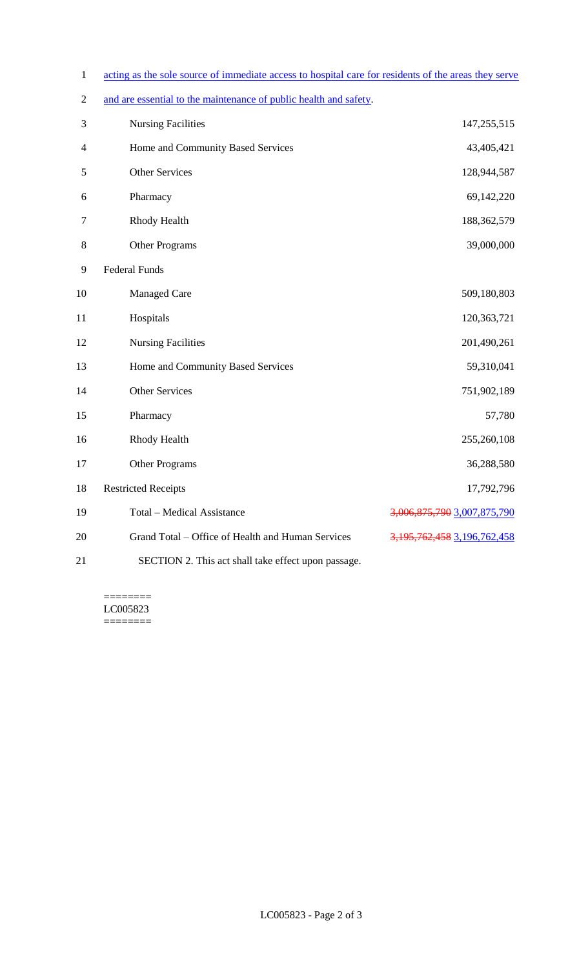- 1 acting as the sole source of immediate access to hospital care for residents of the areas they serve
- 2 and are essential to the maintenance of public health and safety.

| 3                | <b>Nursing Facilities</b>                           | 147,255,515                       |
|------------------|-----------------------------------------------------|-----------------------------------|
| $\overline{4}$   | Home and Community Based Services                   | 43,405,421                        |
| 5                | <b>Other Services</b>                               | 128,944,587                       |
| 6                | Pharmacy                                            | 69,142,220                        |
| $\boldsymbol{7}$ | Rhody Health                                        | 188,362,579                       |
| $8\,$            | <b>Other Programs</b>                               | 39,000,000                        |
| 9                | <b>Federal Funds</b>                                |                                   |
| 10               | <b>Managed Care</b>                                 | 509,180,803                       |
| 11               | Hospitals                                           | 120,363,721                       |
| 12               | <b>Nursing Facilities</b>                           | 201,490,261                       |
| 13               | Home and Community Based Services                   | 59,310,041                        |
| 14               | <b>Other Services</b>                               | 751,902,189                       |
| 15               | Pharmacy                                            | 57,780                            |
| 16               | <b>Rhody Health</b>                                 | 255,260,108                       |
| 17               | Other Programs                                      | 36,288,580                        |
| 18               | <b>Restricted Receipts</b>                          | 17,792,796                        |
| 19               | <b>Total - Medical Assistance</b>                   | 3,006,875,790 3,007,875,790       |
| 20               | Grand Total - Office of Health and Human Services   | 3, 195, 762, 458 3, 196, 762, 458 |
| 21               | SECTION 2. This act shall take effect upon passage. |                                   |

======== LC005823  $=$